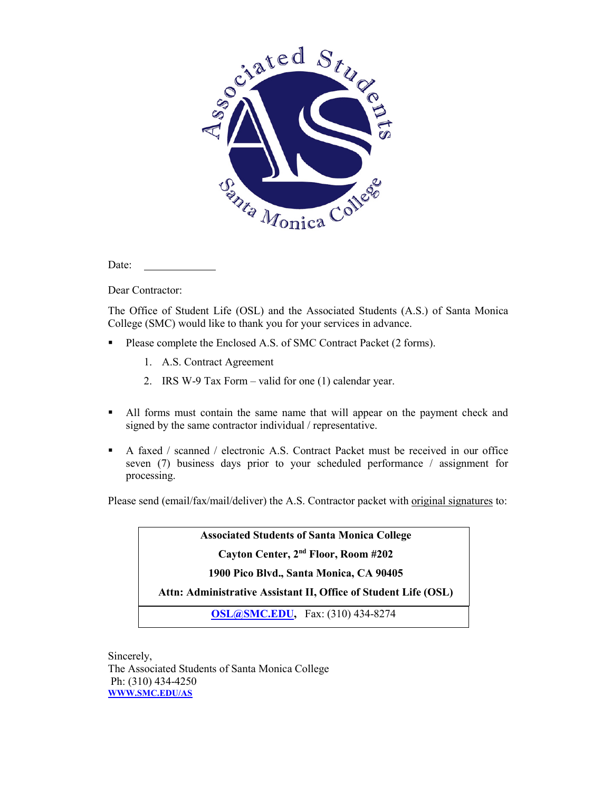

Date:

Dear Contractor:

The Office of Student Life (OSL) and the Associated Students (A.S.) of Santa Monica College (SMC) would like to thank you for your services in advance.

- Please complete the Enclosed A.S. of SMC Contract Packet (2 forms).
	- 1. A.S. Contract Agreement
	- 2. IRS W-9 Tax Form valid for one (1) calendar year.
- All forms must contain the same name that will appear on the payment check and signed by the same contractor individual / representative.
- A faxed / scanned / electronic A.S. Contract Packet must be received in our office seven (7) business days prior to your scheduled performance / assignment for processing.

Please send (email/fax/mail/deliver) the A.S. Contractor packet with original signatures to:

**Associated Students of Santa Monica College**

**Cayton Center, 2nd Floor, Room #202**

**1900 Pico Blvd., Santa Monica, CA 90405** 

**Attn: Administrative Assistant II, Office of Student Life (OSL)**

**[OSL@SMC.EDU,](mailto:OSL@SMC.EDU)** Fax: (310) 434-8274

Sincerely, The Associated Students of Santa Monica College Ph: (310) 434-4250 **[WWW.SMC.EDU/AS](http://www.smc.edu/AS)**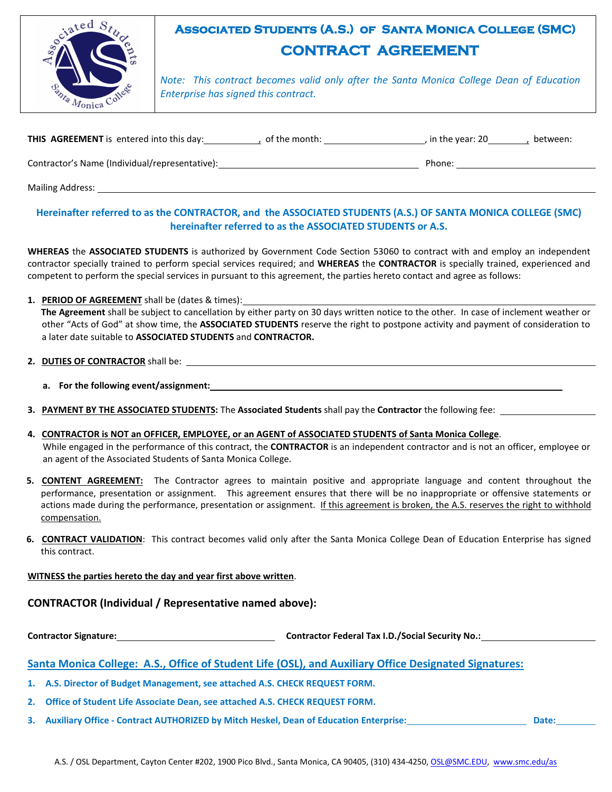

## **Associated Students (A.S.) of Santa Monica College (SMC) CONTRACT AGREEMENT**

*Note: This contract becomes valid only after the Santa Monica College Dean of Education Enterprise has signed this contract.*

|  | <b>THIS AGREEMENT</b> is entered into this day: | of the month: | , in the year: 20 | between: |
|--|-------------------------------------------------|---------------|-------------------|----------|
|--|-------------------------------------------------|---------------|-------------------|----------|

Contractor's Name (Individual/representative): Phone: Phone: Phone: Phone: Phone: Phone: Phone: Phone: Phone: Phone: Phone: Phone: Phone: Phone: Phone: Phone: Phone: Phone: Phone: Phone: Phone: Phone: Phone: Phone: Phone:

Mailing Address:

#### **Hereinafter referred to as the CONTRACTOR, and the ASSOCIATED STUDENTS (A.S.) OF SANTA MONICA COLLEGE (SMC) hereinafter referred to as the ASSOCIATED STUDENTS or A.S.**

**WHEREAS** the **ASSOCIATED STUDENTS** is authorized by Government Code Section 53060 to contract with and employ an independent contractor specially trained to perform special services required; and **WHEREAS** the **CONTRACTOR** is specially trained, experienced and competent to perform the special services in pursuant to this agreement, the parties hereto contact and agree as follows:

**1. PERIOD OF AGREEMENT** shall be (dates & times):

**The Agreement** shall be subject to cancellation by either party on 30 days written notice to the other. In case of inclement weather or other "Acts of God" at show time, the **ASSOCIATED STUDENTS** reserve the right to postpone activity and payment of consideration to a later date suitable to **ASSOCIATED STUDENTS** and **CONTRACTOR.**

- **2. DUTIES OF CONTRACTOR** shall be:
	- **a. For the following event/assignment:**
- **3. PAYMENT BY THE ASSOCIATED STUDENTS:** The **Associated Students** shall pay the **Contractor** the following fee:
- **4. CONTRACTOR is NOT an OFFICER, EMPLOYEE, or an AGENT of ASSOCIATED STUDENTS of Santa Monica College**. While engaged in the performance of this contract, the **CONTRACTOR** is an independent contractor and is not an officer, employee or an agent of the Associated Students of Santa Monica College.
- **5. CONTENT AGREEMENT:** The Contractor agrees to maintain positive and appropriate language and content throughout the performance, presentation or assignment. This agreement ensures that there will be no inappropriate or offensive statements or actions made during the performance, presentation or assignment. If this agreement is broken, the A.S. reserves the right to withhold compensation.
- **6. CONTRACT VALIDATION**: This contract becomes valid only after the Santa Monica College Dean of Education Enterprise has signed this contract.

#### **WITNESS the parties hereto the day and year first above written**.

## **CONTRACTOR (Individual / Representative named above):**

**Contractor Signature: Contractor Federal Tax I.D./Social Security No.:**

## **Santa Monica College: A.S., Office of Student Life (OSL), and Auxiliary Office Designated Signatures:**

- **1. A.S. Director of Budget Management, see attached A.S. CHECK REQUEST FORM.**
- **2. Office of Student Life Associate Dean, see attached A.S. CHECK REQUEST FORM.**
- **3. Auxiliary Office Contract AUTHORIZED by Mitch Heskel, Dean of Education Enterprise: Date:**